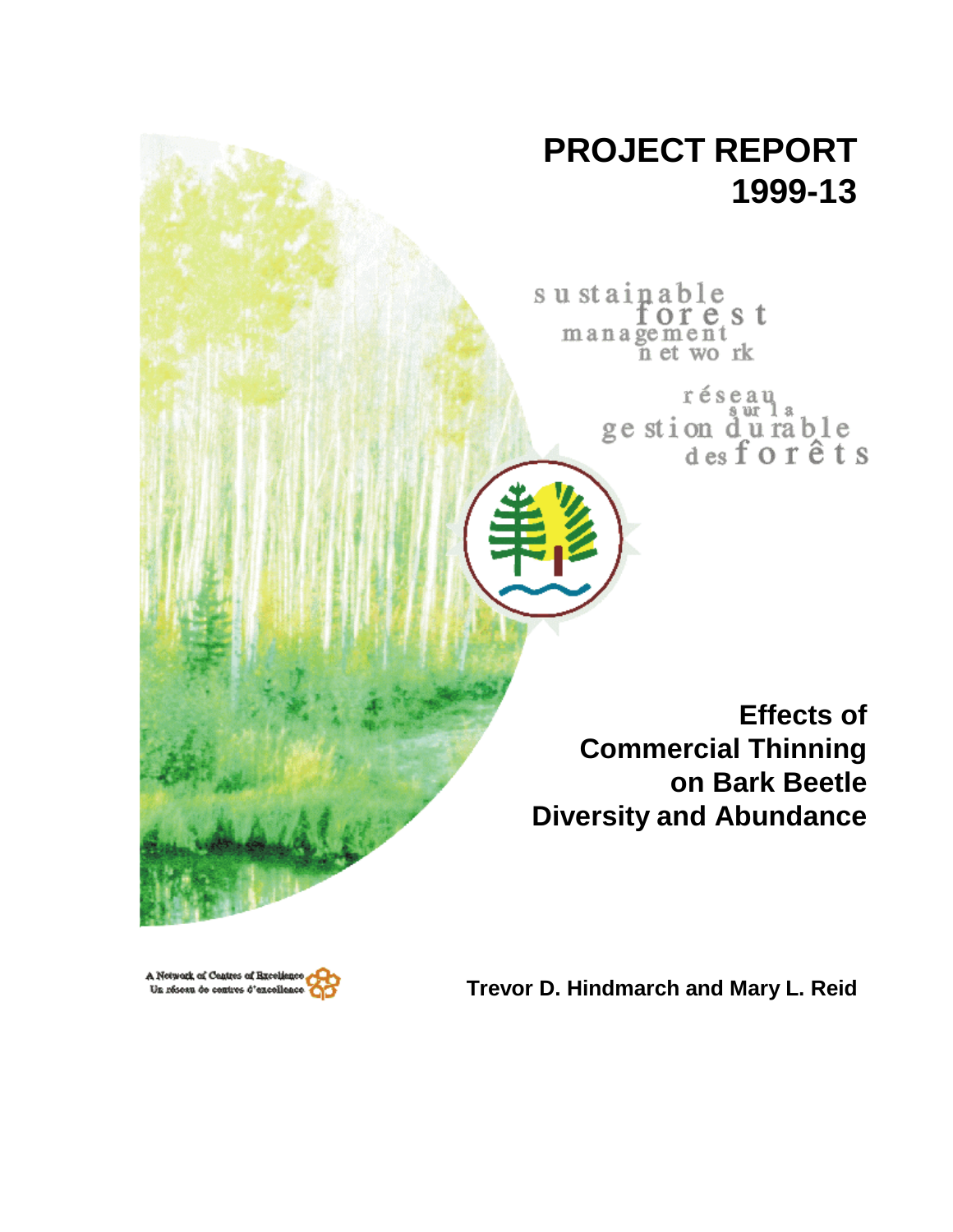# **PROJECT REPORT 1999-13**

sustainable<br>forest<br>management<br>net work

réseau ge stion du rable<br>desforêts

**Effects of Commercial Thinning on Bark Beetle Diversity and Abundance**

A Network of Centres of Breekene Un réseau de centres d'excelles

**Trevor D. Hindmarch and Mary L. Reid**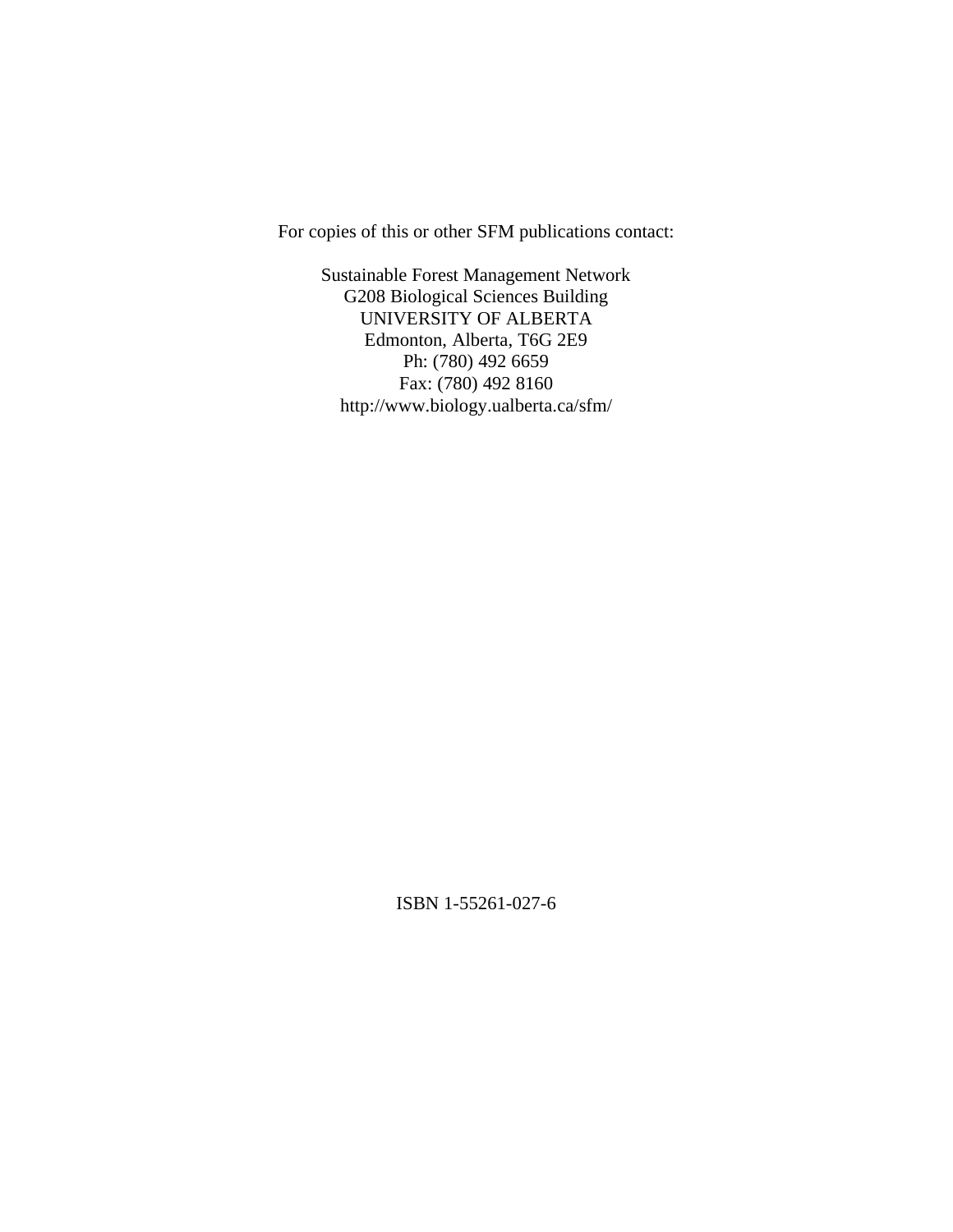For copies of this or other SFM publications contact:

Sustainable Forest Management Network G208 Biological Sciences Building UNIVERSITY OF ALBERTA Edmonton, Alberta, T6G 2E9 Ph: (780) 492 6659 Fax: (780) 492 8160 http://www.biology.ualberta.ca/sfm/

ISBN 1-55261-027-6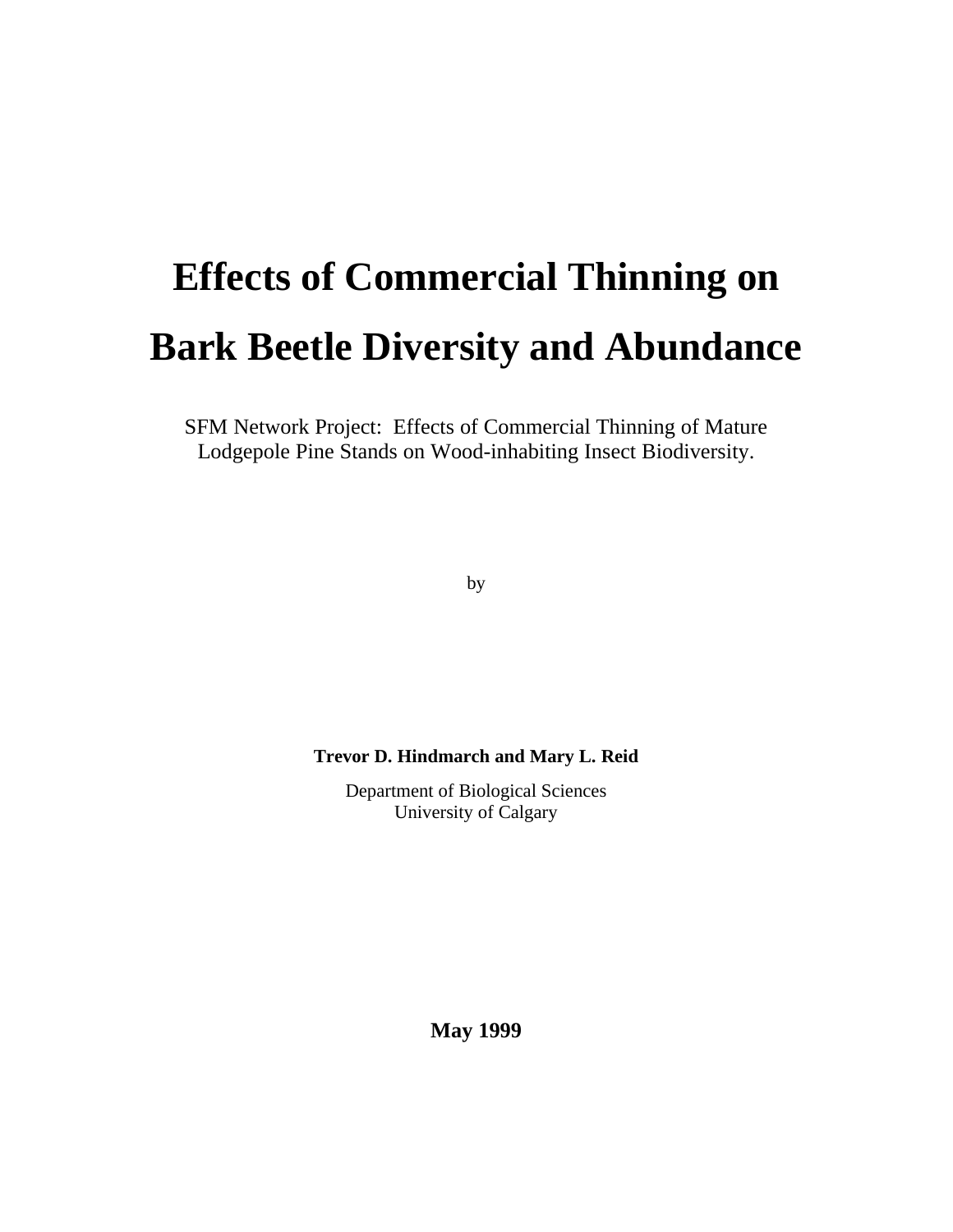# **Effects of Commercial Thinning on Bark Beetle Diversity and Abundance**

SFM Network Project: Effects of Commercial Thinning of Mature Lodgepole Pine Stands on Wood-inhabiting Insect Biodiversity.

by

**Trevor D. Hindmarch and Mary L. Reid**

Department of Biological Sciences University of Calgary

**May 1999**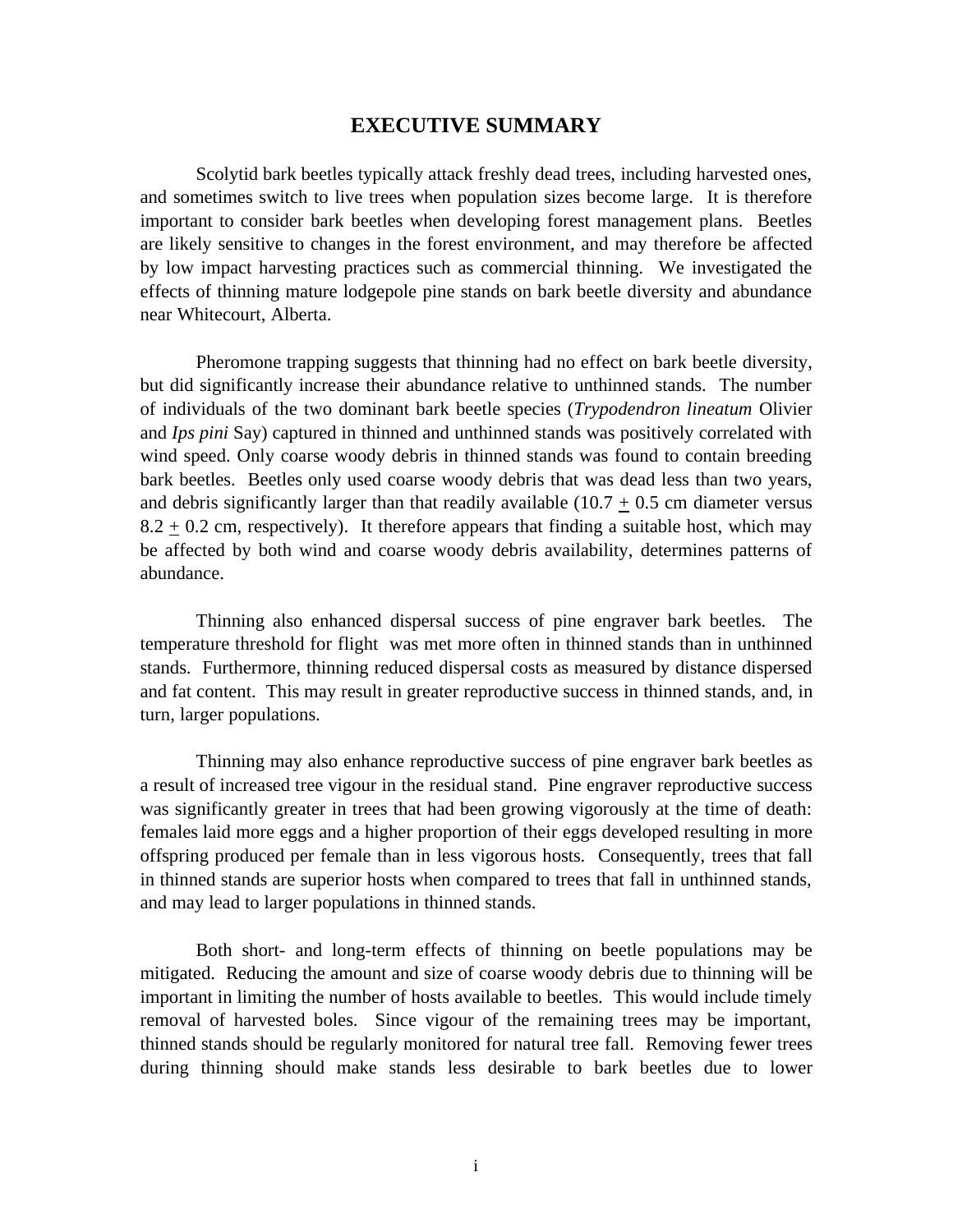### **EXECUTIVE SUMMARY**

Scolytid bark beetles typically attack freshly dead trees, including harvested ones, and sometimes switch to live trees when population sizes become large. It is therefore important to consider bark beetles when developing forest management plans. Beetles are likely sensitive to changes in the forest environment, and may therefore be affected by low impact harvesting practices such as commercial thinning. We investigated the effects of thinning mature lodgepole pine stands on bark beetle diversity and abundance near Whitecourt, Alberta.

Pheromone trapping suggests that thinning had no effect on bark beetle diversity, but did significantly increase their abundance relative to unthinned stands. The number of individuals of the two dominant bark beetle species (*Trypodendron lineatum* Olivier and *Ips pini* Say) captured in thinned and unthinned stands was positively correlated with wind speed. Only coarse woody debris in thinned stands was found to contain breeding bark beetles. Beetles only used coarse woody debris that was dead less than two years, and debris significantly larger than that readily available  $(10.7 + 0.5)$  cm diameter versus  $8.2 + 0.2$  cm, respectively). It therefore appears that finding a suitable host, which may be affected by both wind and coarse woody debris availability, determines patterns of abundance.

Thinning also enhanced dispersal success of pine engraver bark beetles. The temperature threshold for flight was met more often in thinned stands than in unthinned stands. Furthermore, thinning reduced dispersal costs as measured by distance dispersed and fat content. This may result in greater reproductive success in thinned stands, and, in turn, larger populations.

Thinning may also enhance reproductive success of pine engraver bark beetles as a result of increased tree vigour in the residual stand. Pine engraver reproductive success was significantly greater in trees that had been growing vigorously at the time of death: females laid more eggs and a higher proportion of their eggs developed resulting in more offspring produced per female than in less vigorous hosts. Consequently, trees that fall in thinned stands are superior hosts when compared to trees that fall in unthinned stands, and may lead to larger populations in thinned stands.

Both short- and long-term effects of thinning on beetle populations may be mitigated. Reducing the amount and size of coarse woody debris due to thinning will be important in limiting the number of hosts available to beetles. This would include timely removal of harvested boles. Since vigour of the remaining trees may be important, thinned stands should be regularly monitored for natural tree fall. Removing fewer trees during thinning should make stands less desirable to bark beetles due to lower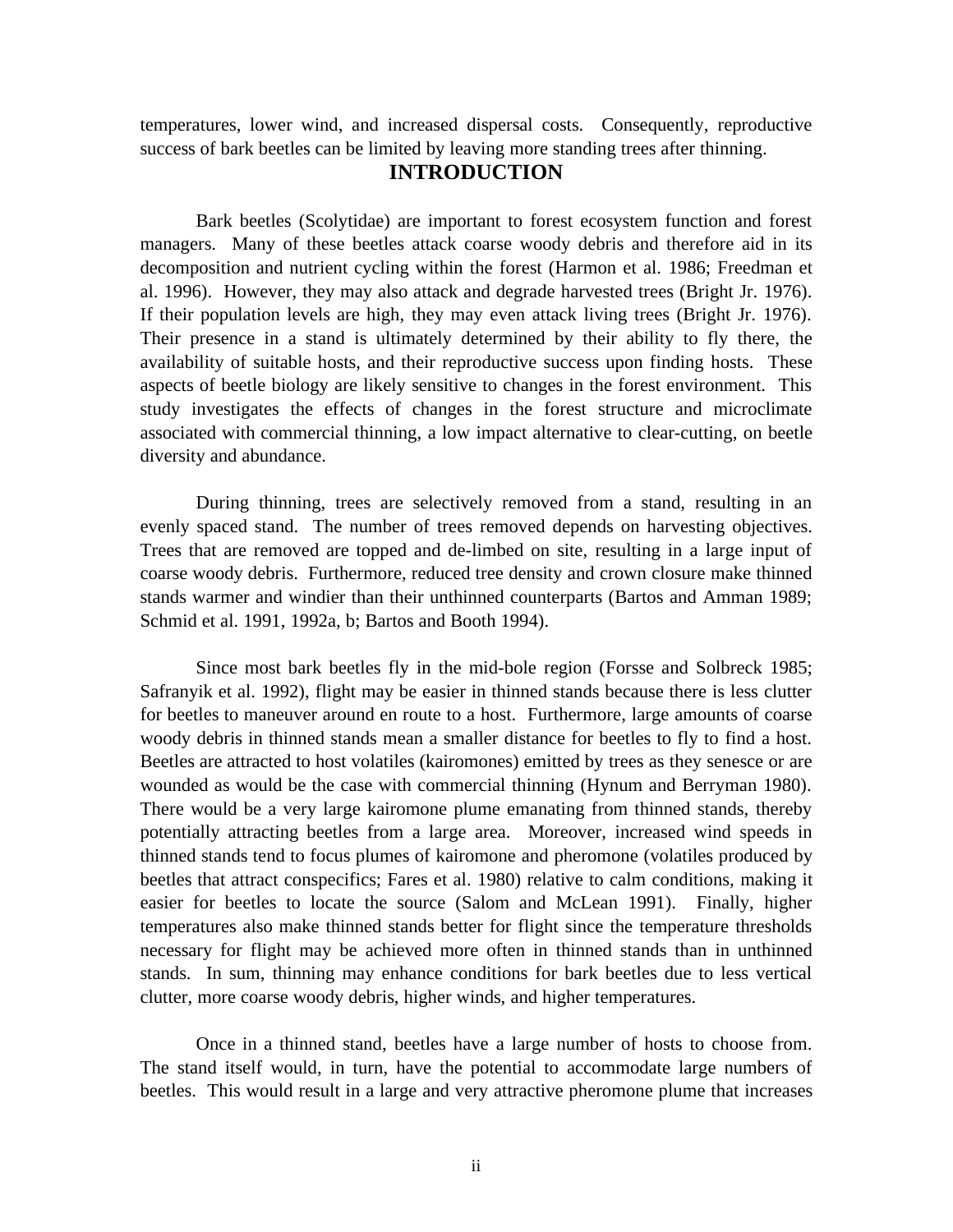temperatures, lower wind, and increased dispersal costs. Consequently, reproductive success of bark beetles can be limited by leaving more standing trees after thinning.

# **INTRODUCTION**

Bark beetles (Scolytidae) are important to forest ecosystem function and forest managers. Many of these beetles attack coarse woody debris and therefore aid in its decomposition and nutrient cycling within the forest (Harmon et al. 1986; Freedman et al. 1996). However, they may also attack and degrade harvested trees (Bright Jr. 1976). If their population levels are high, they may even attack living trees (Bright Jr. 1976). Their presence in a stand is ultimately determined by their ability to fly there, the availability of suitable hosts, and their reproductive success upon finding hosts. These aspects of beetle biology are likely sensitive to changes in the forest environment. This study investigates the effects of changes in the forest structure and microclimate associated with commercial thinning, a low impact alternative to clear-cutting, on beetle diversity and abundance.

During thinning, trees are selectively removed from a stand, resulting in an evenly spaced stand. The number of trees removed depends on harvesting objectives. Trees that are removed are topped and de-limbed on site, resulting in a large input of coarse woody debris. Furthermore, reduced tree density and crown closure make thinned stands warmer and windier than their unthinned counterparts (Bartos and Amman 1989; Schmid et al. 1991, 1992a, b; Bartos and Booth 1994).

Since most bark beetles fly in the mid-bole region (Forsse and Solbreck 1985; Safranyik et al. 1992), flight may be easier in thinned stands because there is less clutter for beetles to maneuver around en route to a host. Furthermore, large amounts of coarse woody debris in thinned stands mean a smaller distance for beetles to fly to find a host. Beetles are attracted to host volatiles (kairomones) emitted by trees as they senesce or are wounded as would be the case with commercial thinning (Hynum and Berryman 1980). There would be a very large kairomone plume emanating from thinned stands, thereby potentially attracting beetles from a large area. Moreover, increased wind speeds in thinned stands tend to focus plumes of kairomone and pheromone (volatiles produced by beetles that attract conspecifics; Fares et al. 1980) relative to calm conditions, making it easier for beetles to locate the source (Salom and McLean 1991). Finally, higher temperatures also make thinned stands better for flight since the temperature thresholds necessary for flight may be achieved more often in thinned stands than in unthinned stands. In sum, thinning may enhance conditions for bark beetles due to less vertical clutter, more coarse woody debris, higher winds, and higher temperatures.

Once in a thinned stand, beetles have a large number of hosts to choose from. The stand itself would, in turn, have the potential to accommodate large numbers of beetles. This would result in a large and very attractive pheromone plume that increases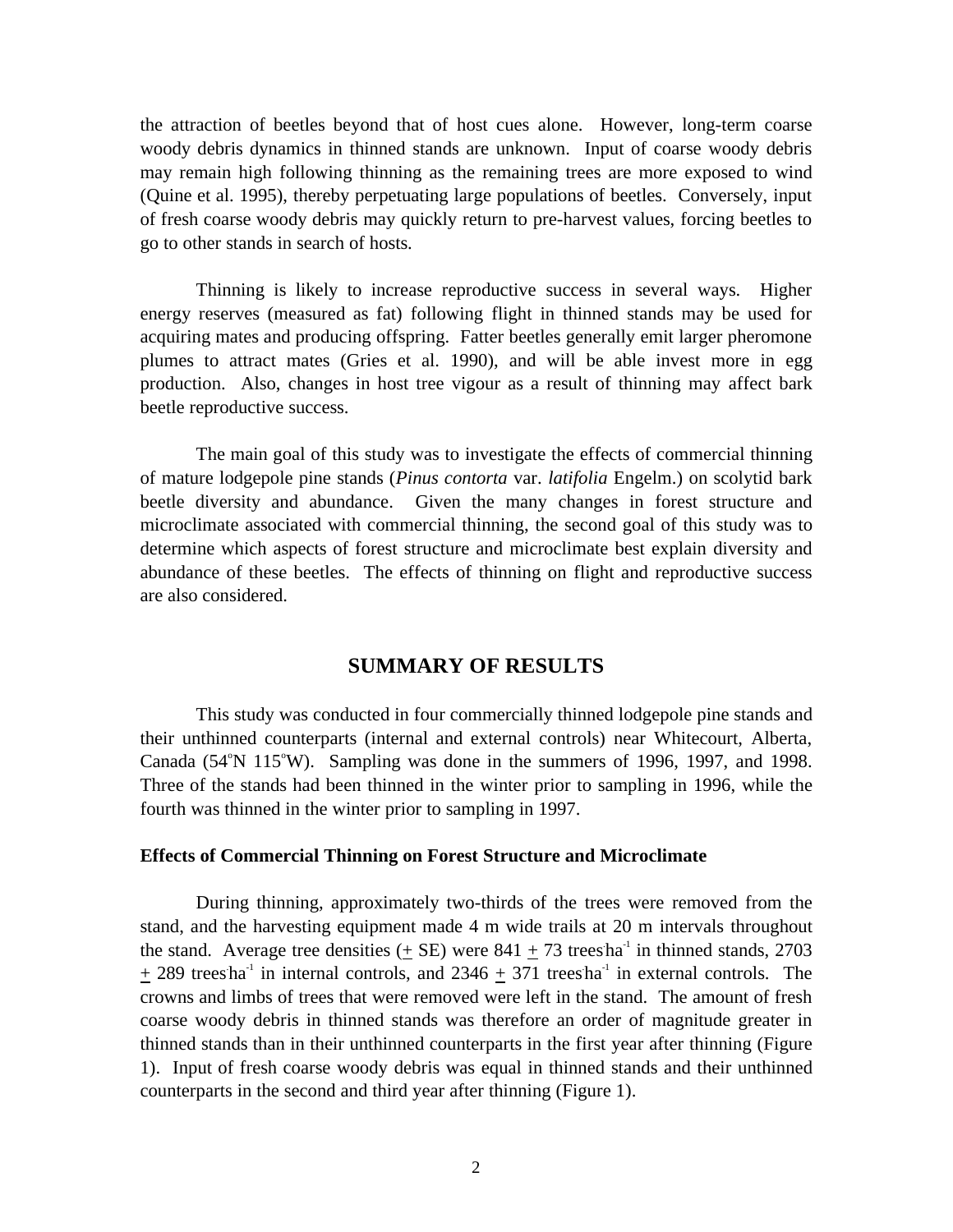the attraction of beetles beyond that of host cues alone. However, long-term coarse woody debris dynamics in thinned stands are unknown. Input of coarse woody debris may remain high following thinning as the remaining trees are more exposed to wind (Quine et al. 1995), thereby perpetuating large populations of beetles. Conversely, input of fresh coarse woody debris may quickly return to pre-harvest values, forcing beetles to go to other stands in search of hosts.

Thinning is likely to increase reproductive success in several ways. Higher energy reserves (measured as fat) following flight in thinned stands may be used for acquiring mates and producing offspring. Fatter beetles generally emit larger pheromone plumes to attract mates (Gries et al. 1990), and will be able invest more in egg production. Also, changes in host tree vigour as a result of thinning may affect bark beetle reproductive success.

The main goal of this study was to investigate the effects of commercial thinning of mature lodgepole pine stands (*Pinus contorta* var. *latifolia* Engelm.) on scolytid bark beetle diversity and abundance. Given the many changes in forest structure and microclimate associated with commercial thinning, the second goal of this study was to determine which aspects of forest structure and microclimate best explain diversity and abundance of these beetles. The effects of thinning on flight and reproductive success are also considered.

# **SUMMARY OF RESULTS**

This study was conducted in four commercially thinned lodgepole pine stands and their unthinned counterparts (internal and external controls) near Whitecourt, Alberta, Canada (54°N 115°W). Sampling was done in the summers of 1996, 1997, and 1998. Three of the stands had been thinned in the winter prior to sampling in 1996, while the fourth was thinned in the winter prior to sampling in 1997.

#### **Effects of Commercial Thinning on Forest Structure and Microclimate**

During thinning, approximately two-thirds of the trees were removed from the stand, and the harvesting equipment made 4 m wide trails at 20 m intervals throughout the stand. Average tree densities  $(± SE)$  were  $841 ± 73$  trees ha<sup>-1</sup> in thinned stands, 2703  $+$  289 trees ha<sup>-1</sup> in internal controls, and 2346  $+$  371 trees ha<sup>-1</sup> in external controls. The crowns and limbs of trees that were removed were left in the stand. The amount of fresh coarse woody debris in thinned stands was therefore an order of magnitude greater in thinned stands than in their unthinned counterparts in the first year after thinning (Figure 1). Input of fresh coarse woody debris was equal in thinned stands and their unthinned counterparts in the second and third year after thinning (Figure 1).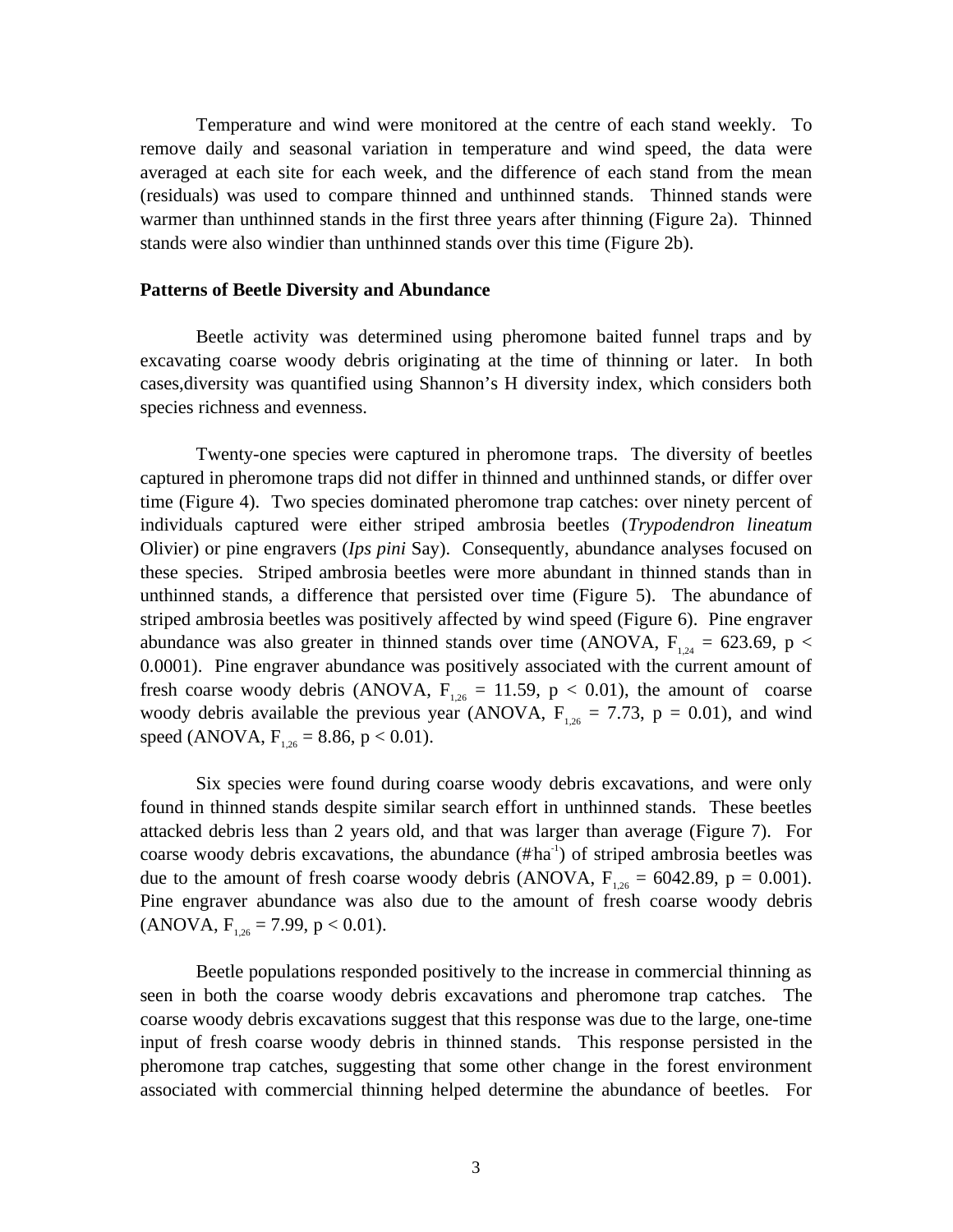Temperature and wind were monitored at the centre of each stand weekly. To remove daily and seasonal variation in temperature and wind speed, the data were averaged at each site for each week, and the difference of each stand from the mean (residuals) was used to compare thinned and unthinned stands. Thinned stands were warmer than unthinned stands in the first three years after thinning (Figure 2a). Thinned stands were also windier than unthinned stands over this time (Figure 2b).

#### **Patterns of Beetle Diversity and Abundance**

Beetle activity was determined using pheromone baited funnel traps and by excavating coarse woody debris originating at the time of thinning or later. In both cases,diversity was quantified using Shannon's H diversity index, which considers both species richness and evenness.

Twenty-one species were captured in pheromone traps. The diversity of beetles captured in pheromone traps did not differ in thinned and unthinned stands, or differ over time (Figure 4). Two species dominated pheromone trap catches: over ninety percent of individuals captured were either striped ambrosia beetles (*Trypodendron lineatum* Olivier) or pine engravers (*Ips pini* Say). Consequently, abundance analyses focused on these species. Striped ambrosia beetles were more abundant in thinned stands than in unthinned stands, a difference that persisted over time (Figure 5). The abundance of striped ambrosia beetles was positively affected by wind speed (Figure 6). Pine engraver abundance was also greater in thinned stands over time (ANOVA,  $F_{1,24} = 623.69$ , p < 0.0001). Pine engraver abundance was positively associated with the current amount of fresh coarse woody debris (ANOVA,  $F_{1,26} = 11.59$ , p < 0.01), the amount of coarse woody debris available the previous year (ANOVA,  $F_{1,26} = 7.73$ ,  $p = 0.01$ ), and wind speed (ANOVA,  $F_{126} = 8.86$ , p < 0.01).

Six species were found during coarse woody debris excavations, and were only found in thinned stands despite similar search effort in unthinned stands. These beetles attacked debris less than 2 years old, and that was larger than average (Figure 7). For coarse woody debris excavations, the abundance  $(\# ha^1)$  of striped ambrosia beetles was due to the amount of fresh coarse woody debris (ANOVA,  $F_{1,26} = 6042.89$ ,  $p = 0.001$ ). Pine engraver abundance was also due to the amount of fresh coarse woody debris  $(ANOVA, F<sub>1.26</sub> = 7.99, p < 0.01).$ 

Beetle populations responded positively to the increase in commercial thinning as seen in both the coarse woody debris excavations and pheromone trap catches. The coarse woody debris excavations suggest that this response was due to the large, one-time input of fresh coarse woody debris in thinned stands. This response persisted in the pheromone trap catches, suggesting that some other change in the forest environment associated with commercial thinning helped determine the abundance of beetles. For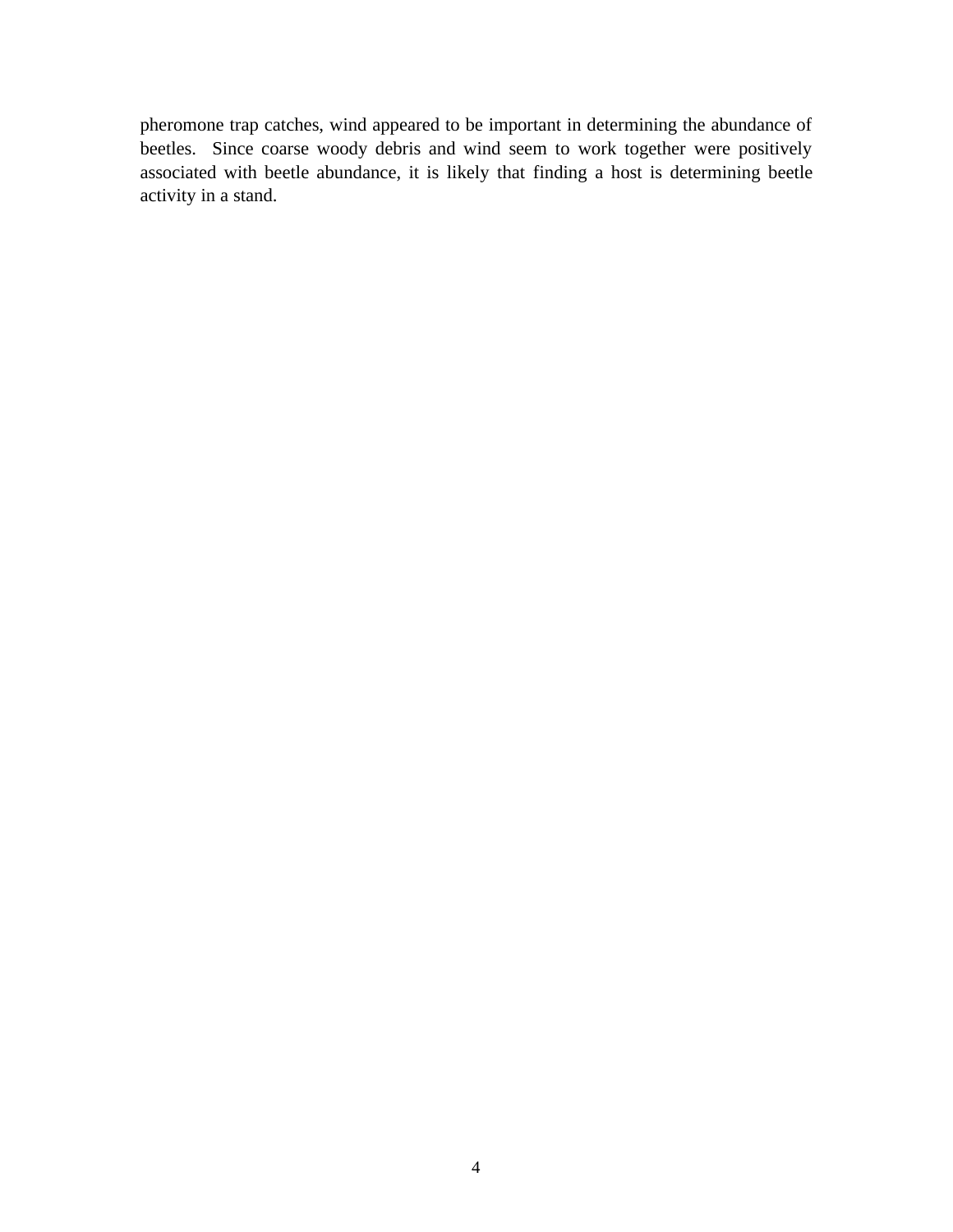pheromone trap catches, wind appeared to be important in determining the abundance of beetles. Since coarse woody debris and wind seem to work together were positively associated with beetle abundance, it is likely that finding a host is determining beetle activity in a stand.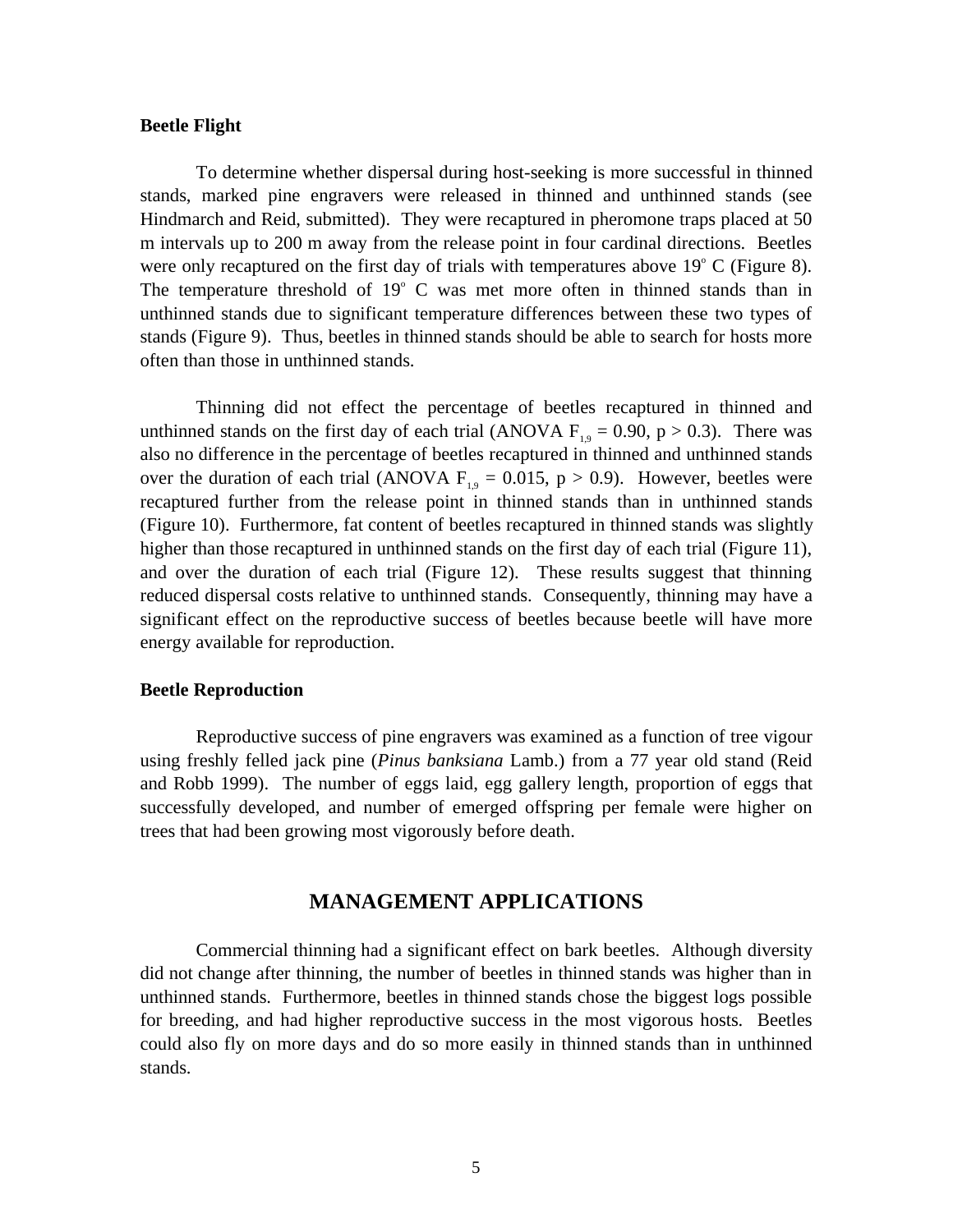#### **Beetle Flight**

To determine whether dispersal during host-seeking is more successful in thinned stands, marked pine engravers were released in thinned and unthinned stands (see Hindmarch and Reid, submitted). They were recaptured in pheromone traps placed at 50 m intervals up to 200 m away from the release point in four cardinal directions. Beetles were only recaptured on the first day of trials with temperatures above  $19^{\circ}$  C (Figure 8). The temperature threshold of  $19^{\circ}$  C was met more often in thinned stands than in unthinned stands due to significant temperature differences between these two types of stands (Figure 9). Thus, beetles in thinned stands should be able to search for hosts more often than those in unthinned stands.

Thinning did not effect the percentage of beetles recaptured in thinned and unthinned stands on the first day of each trial (ANOVA  $F_{19} = 0.90$ , p > 0.3). There was also no difference in the percentage of beetles recaptured in thinned and unthinned stands over the duration of each trial (ANOVA  $F_{19} = 0.015$ , p > 0.9). However, beetles were recaptured further from the release point in thinned stands than in unthinned stands (Figure 10). Furthermore, fat content of beetles recaptured in thinned stands was slightly higher than those recaptured in unthinned stands on the first day of each trial (Figure 11), and over the duration of each trial (Figure 12). These results suggest that thinning reduced dispersal costs relative to unthinned stands. Consequently, thinning may have a significant effect on the reproductive success of beetles because beetle will have more energy available for reproduction.

#### **Beetle Reproduction**

Reproductive success of pine engravers was examined as a function of tree vigour using freshly felled jack pine (*Pinus banksiana* Lamb.) from a 77 year old stand (Reid and Robb 1999). The number of eggs laid, egg gallery length, proportion of eggs that successfully developed, and number of emerged offspring per female were higher on trees that had been growing most vigorously before death.

## **MANAGEMENT APPLICATIONS**

Commercial thinning had a significant effect on bark beetles. Although diversity did not change after thinning, the number of beetles in thinned stands was higher than in unthinned stands. Furthermore, beetles in thinned stands chose the biggest logs possible for breeding, and had higher reproductive success in the most vigorous hosts. Beetles could also fly on more days and do so more easily in thinned stands than in unthinned stands.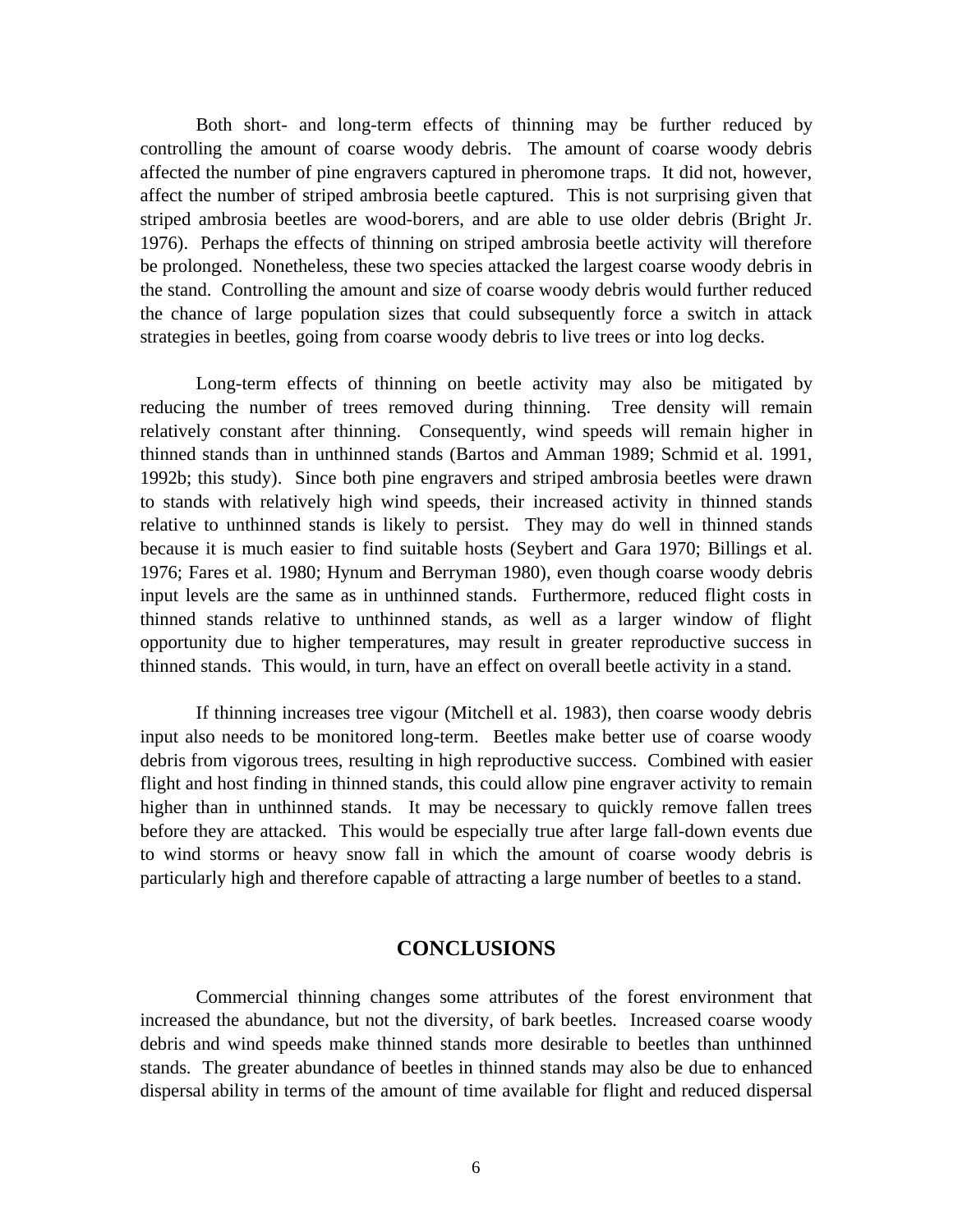Both short- and long-term effects of thinning may be further reduced by controlling the amount of coarse woody debris. The amount of coarse woody debris affected the number of pine engravers captured in pheromone traps. It did not, however, affect the number of striped ambrosia beetle captured. This is not surprising given that striped ambrosia beetles are wood-borers, and are able to use older debris (Bright Jr. 1976). Perhaps the effects of thinning on striped ambrosia beetle activity will therefore be prolonged. Nonetheless, these two species attacked the largest coarse woody debris in the stand. Controlling the amount and size of coarse woody debris would further reduced the chance of large population sizes that could subsequently force a switch in attack strategies in beetles, going from coarse woody debris to live trees or into log decks.

Long-term effects of thinning on beetle activity may also be mitigated by reducing the number of trees removed during thinning. Tree density will remain relatively constant after thinning. Consequently, wind speeds will remain higher in thinned stands than in unthinned stands (Bartos and Amman 1989; Schmid et al. 1991, 1992b; this study). Since both pine engravers and striped ambrosia beetles were drawn to stands with relatively high wind speeds, their increased activity in thinned stands relative to unthinned stands is likely to persist. They may do well in thinned stands because it is much easier to find suitable hosts (Seybert and Gara 1970; Billings et al. 1976; Fares et al. 1980; Hynum and Berryman 1980), even though coarse woody debris input levels are the same as in unthinned stands. Furthermore, reduced flight costs in thinned stands relative to unthinned stands, as well as a larger window of flight opportunity due to higher temperatures, may result in greater reproductive success in thinned stands. This would, in turn, have an effect on overall beetle activity in a stand.

If thinning increases tree vigour (Mitchell et al. 1983), then coarse woody debris input also needs to be monitored long-term. Beetles make better use of coarse woody debris from vigorous trees, resulting in high reproductive success. Combined with easier flight and host finding in thinned stands, this could allow pine engraver activity to remain higher than in unthinned stands. It may be necessary to quickly remove fallen trees before they are attacked. This would be especially true after large fall-down events due to wind storms or heavy snow fall in which the amount of coarse woody debris is particularly high and therefore capable of attracting a large number of beetles to a stand.

# **CONCLUSIONS**

Commercial thinning changes some attributes of the forest environment that increased the abundance, but not the diversity, of bark beetles. Increased coarse woody debris and wind speeds make thinned stands more desirable to beetles than unthinned stands. The greater abundance of beetles in thinned stands may also be due to enhanced dispersal ability in terms of the amount of time available for flight and reduced dispersal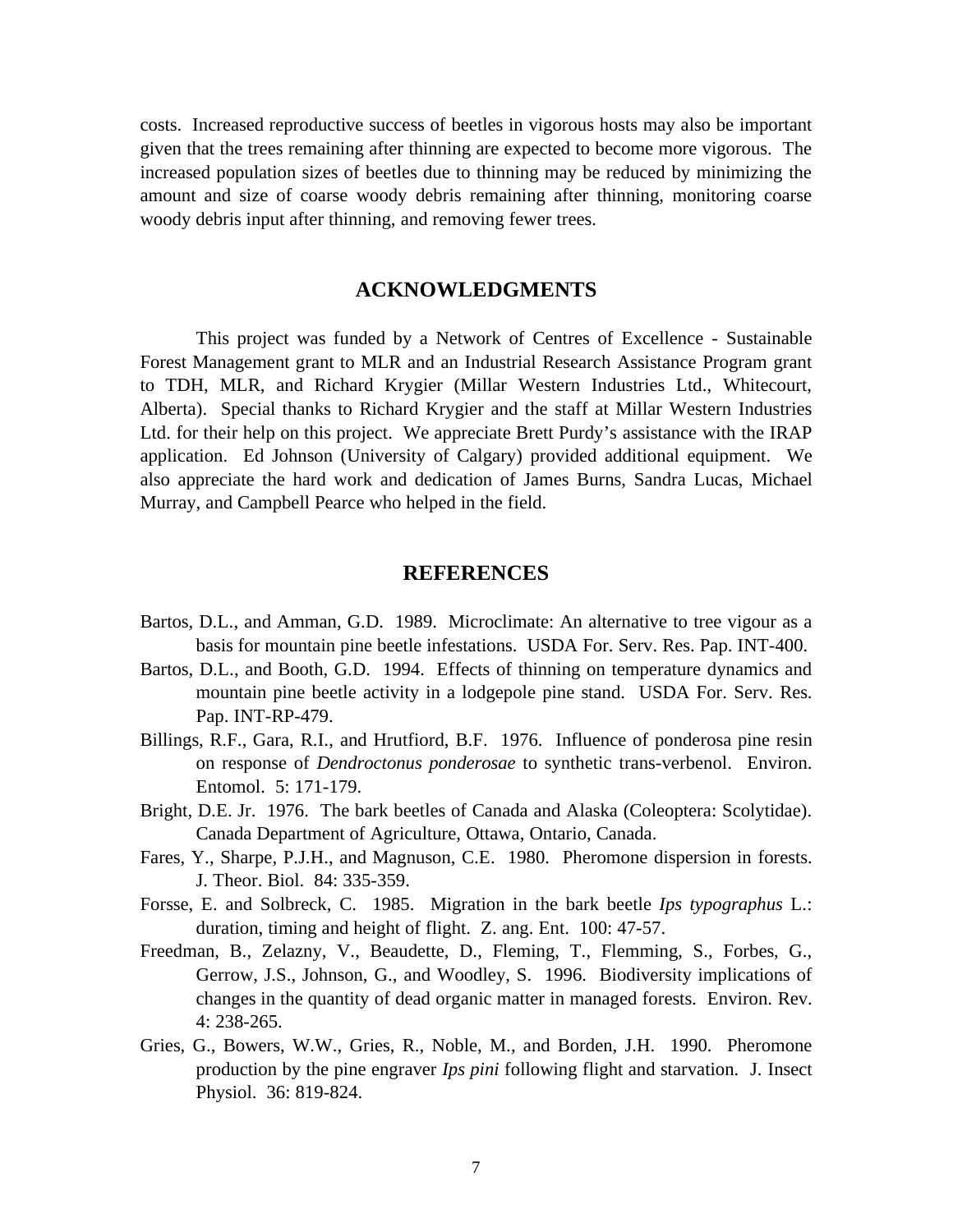costs. Increased reproductive success of beetles in vigorous hosts may also be important given that the trees remaining after thinning are expected to become more vigorous. The increased population sizes of beetles due to thinning may be reduced by minimizing the amount and size of coarse woody debris remaining after thinning, monitoring coarse woody debris input after thinning, and removing fewer trees.

# **ACKNOWLEDGMENTS**

This project was funded by a Network of Centres of Excellence - Sustainable Forest Management grant to MLR and an Industrial Research Assistance Program grant to TDH, MLR, and Richard Krygier (Millar Western Industries Ltd., Whitecourt, Alberta). Special thanks to Richard Krygier and the staff at Millar Western Industries Ltd. for their help on this project. We appreciate Brett Purdy's assistance with the IRAP application. Ed Johnson (University of Calgary) provided additional equipment. We also appreciate the hard work and dedication of James Burns, Sandra Lucas, Michael Murray, and Campbell Pearce who helped in the field.

# **REFERENCES**

- Bartos, D.L., and Amman, G.D. 1989. Microclimate: An alternative to tree vigour as a basis for mountain pine beetle infestations. USDA For. Serv. Res. Pap. INT-400.
- Bartos, D.L., and Booth, G.D. 1994. Effects of thinning on temperature dynamics and mountain pine beetle activity in a lodgepole pine stand. USDA For. Serv. Res. Pap. INT-RP-479.
- Billings, R.F., Gara, R.I., and Hrutfiord, B.F. 1976. Influence of ponderosa pine resin on response of *Dendroctonus ponderosae* to synthetic trans-verbenol. Environ. Entomol. 5: 171-179.
- Bright, D.E. Jr. 1976. The bark beetles of Canada and Alaska (Coleoptera: Scolytidae). Canada Department of Agriculture, Ottawa, Ontario, Canada.
- Fares, Y., Sharpe, P.J.H., and Magnuson, C.E. 1980. Pheromone dispersion in forests. J. Theor. Biol. 84: 335-359.
- Forsse, E. and Solbreck, C. 1985. Migration in the bark beetle *Ips typographus* L.: duration, timing and height of flight. Z. ang. Ent. 100: 47-57.
- Freedman, B., Zelazny, V., Beaudette, D., Fleming, T., Flemming, S., Forbes, G., Gerrow, J.S., Johnson, G., and Woodley, S. 1996. Biodiversity implications of changes in the quantity of dead organic matter in managed forests. Environ. Rev. 4: 238-265.
- Gries, G., Bowers, W.W., Gries, R., Noble, M., and Borden, J.H. 1990. Pheromone production by the pine engraver *Ips pini* following flight and starvation. J. Insect Physiol. 36: 819-824.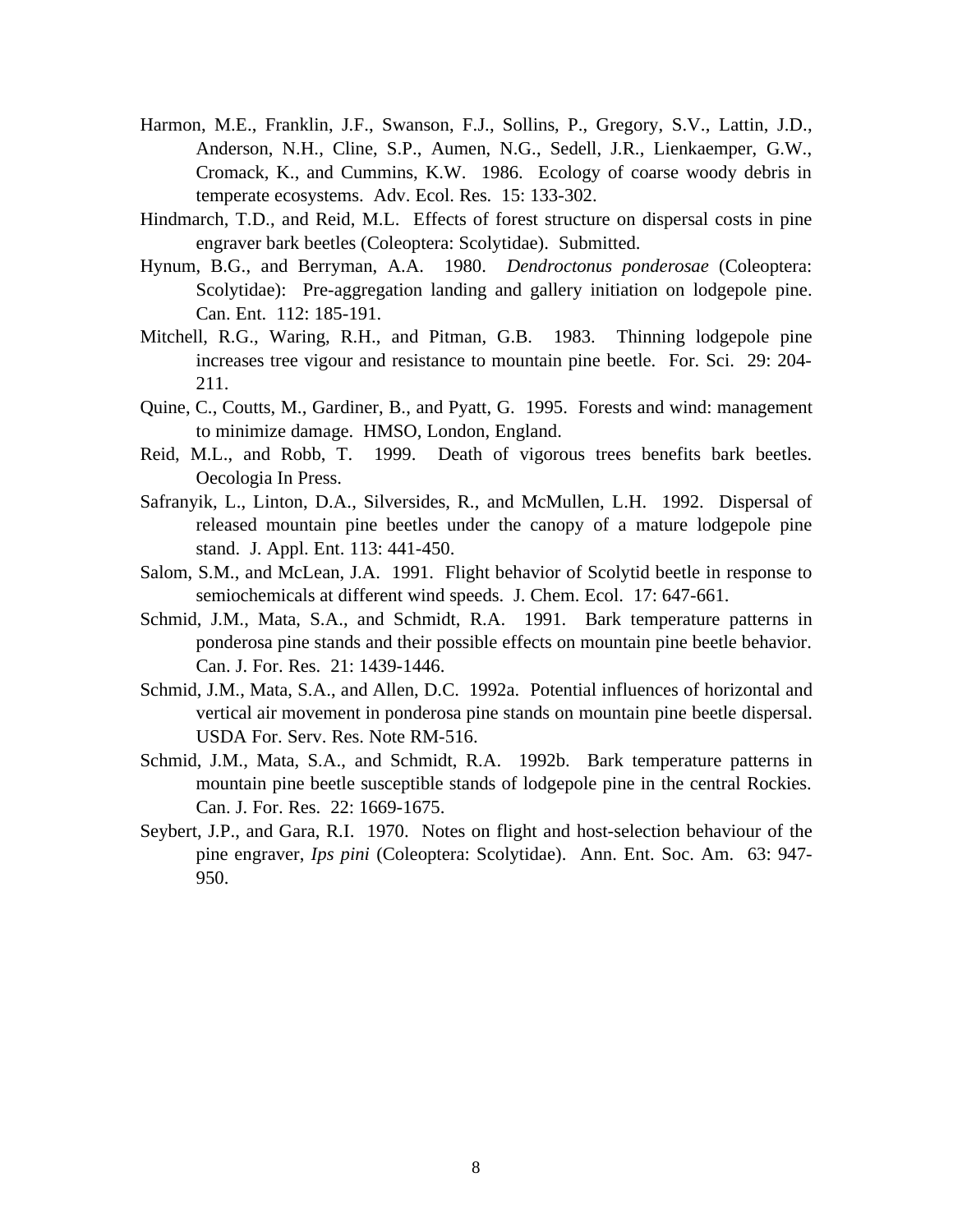- Harmon, M.E., Franklin, J.F., Swanson, F.J., Sollins, P., Gregory, S.V., Lattin, J.D., Anderson, N.H., Cline, S.P., Aumen, N.G., Sedell, J.R., Lienkaemper, G.W., Cromack, K., and Cummins, K.W. 1986. Ecology of coarse woody debris in temperate ecosystems. Adv. Ecol. Res. 15: 133-302.
- Hindmarch, T.D., and Reid, M.L. Effects of forest structure on dispersal costs in pine engraver bark beetles (Coleoptera: Scolytidae). Submitted.
- Hynum, B.G., and Berryman, A.A. 1980. *Dendroctonus ponderosae* (Coleoptera: Scolytidae): Pre-aggregation landing and gallery initiation on lodgepole pine. Can. Ent. 112: 185-191.
- Mitchell, R.G., Waring, R.H., and Pitman, G.B. 1983. Thinning lodgepole pine increases tree vigour and resistance to mountain pine beetle. For. Sci. 29: 204- 211.
- Quine, C., Coutts, M., Gardiner, B., and Pyatt, G. 1995. Forests and wind: management to minimize damage. HMSO, London, England.
- Reid, M.L., and Robb, T. 1999. Death of vigorous trees benefits bark beetles. Oecologia In Press.
- Safranyik, L., Linton, D.A., Silversides, R., and McMullen, L.H. 1992. Dispersal of released mountain pine beetles under the canopy of a mature lodgepole pine stand. J. Appl. Ent. 113: 441-450.
- Salom, S.M., and McLean, J.A. 1991. Flight behavior of Scolytid beetle in response to semiochemicals at different wind speeds. J. Chem. Ecol. 17: 647-661.
- Schmid, J.M., Mata, S.A., and Schmidt, R.A. 1991. Bark temperature patterns in ponderosa pine stands and their possible effects on mountain pine beetle behavior. Can. J. For. Res. 21: 1439-1446.
- Schmid, J.M., Mata, S.A., and Allen, D.C. 1992a. Potential influences of horizontal and vertical air movement in ponderosa pine stands on mountain pine beetle dispersal. USDA For. Serv. Res. Note RM-516.
- Schmid, J.M., Mata, S.A., and Schmidt, R.A. 1992b. Bark temperature patterns in mountain pine beetle susceptible stands of lodgepole pine in the central Rockies. Can. J. For. Res. 22: 1669-1675.
- Seybert, J.P., and Gara, R.I. 1970. Notes on flight and host-selection behaviour of the pine engraver, *Ips pini* (Coleoptera: Scolytidae). Ann. Ent. Soc. Am. 63: 947- 950.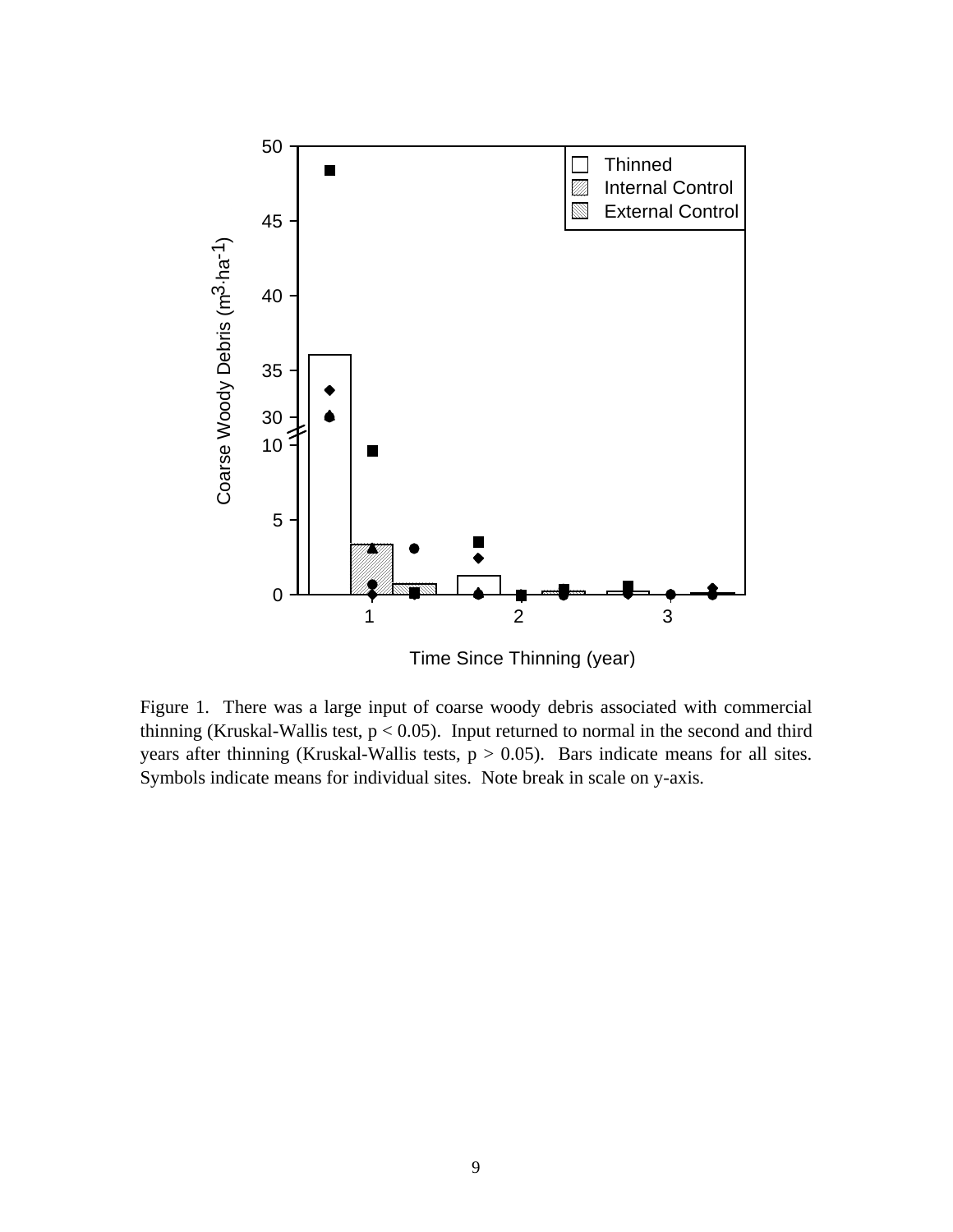

Time Since Thinning (year)

Figure 1. There was a large input of coarse woody debris associated with commercial thinning (Kruskal-Wallis test,  $p < 0.05$ ). Input returned to normal in the second and third years after thinning (Kruskal-Wallis tests,  $p > 0.05$ ). Bars indicate means for all sites. Symbols indicate means for individual sites. Note break in scale on y-axis.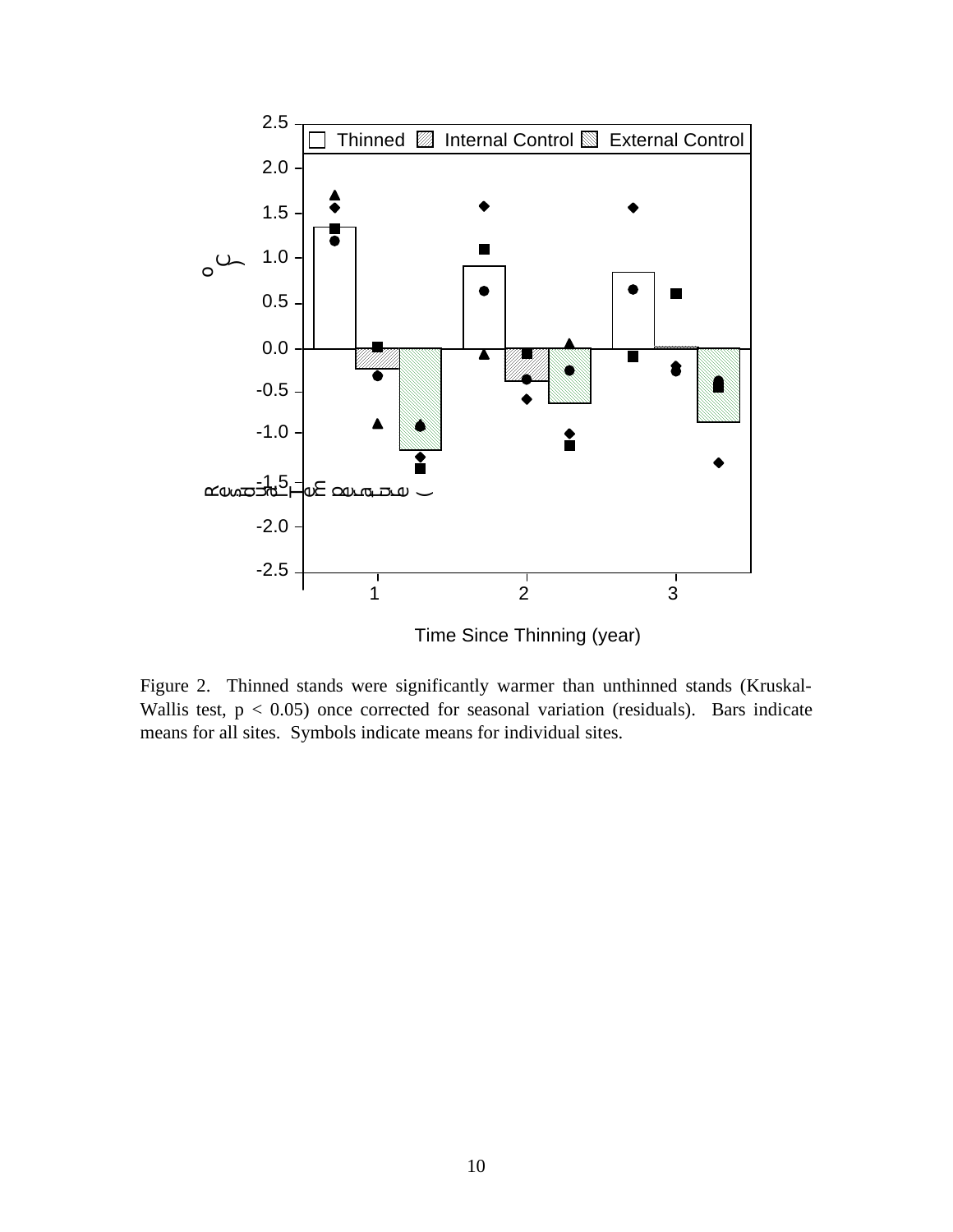

Figure 2. Thinned stands were significantly warmer than unthinned stands (Kruskal-Wallis test,  $p < 0.05$ ) once corrected for seasonal variation (residuals). Bars indicate means for all sites. Symbols indicate means for individual sites.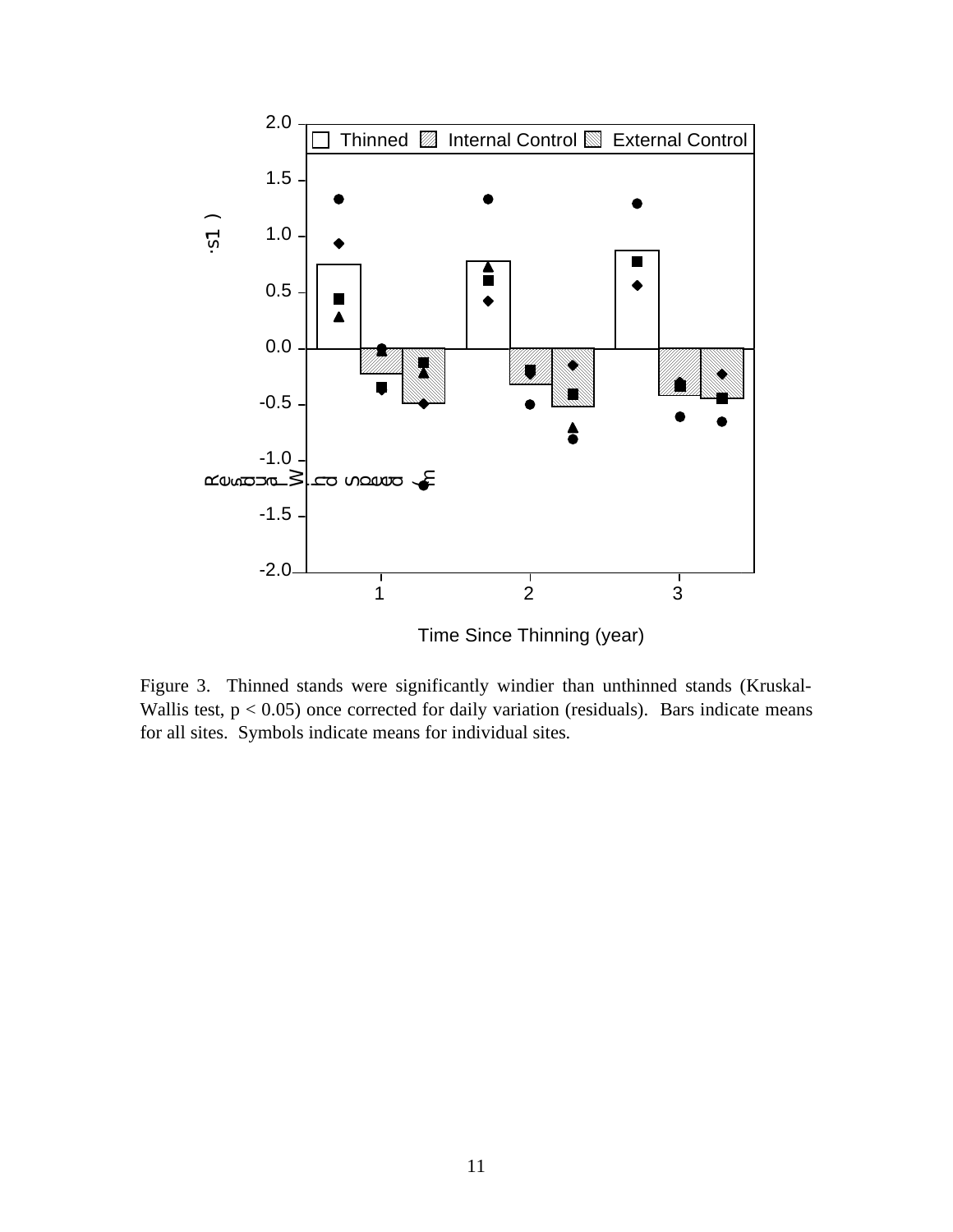

Figure 3. Thinned stands were significantly windier than unthinned stands (Kruskal-Wallis test,  $p < 0.05$ ) once corrected for daily variation (residuals). Bars indicate means

for all sites. Symbols indicate means for individual sites.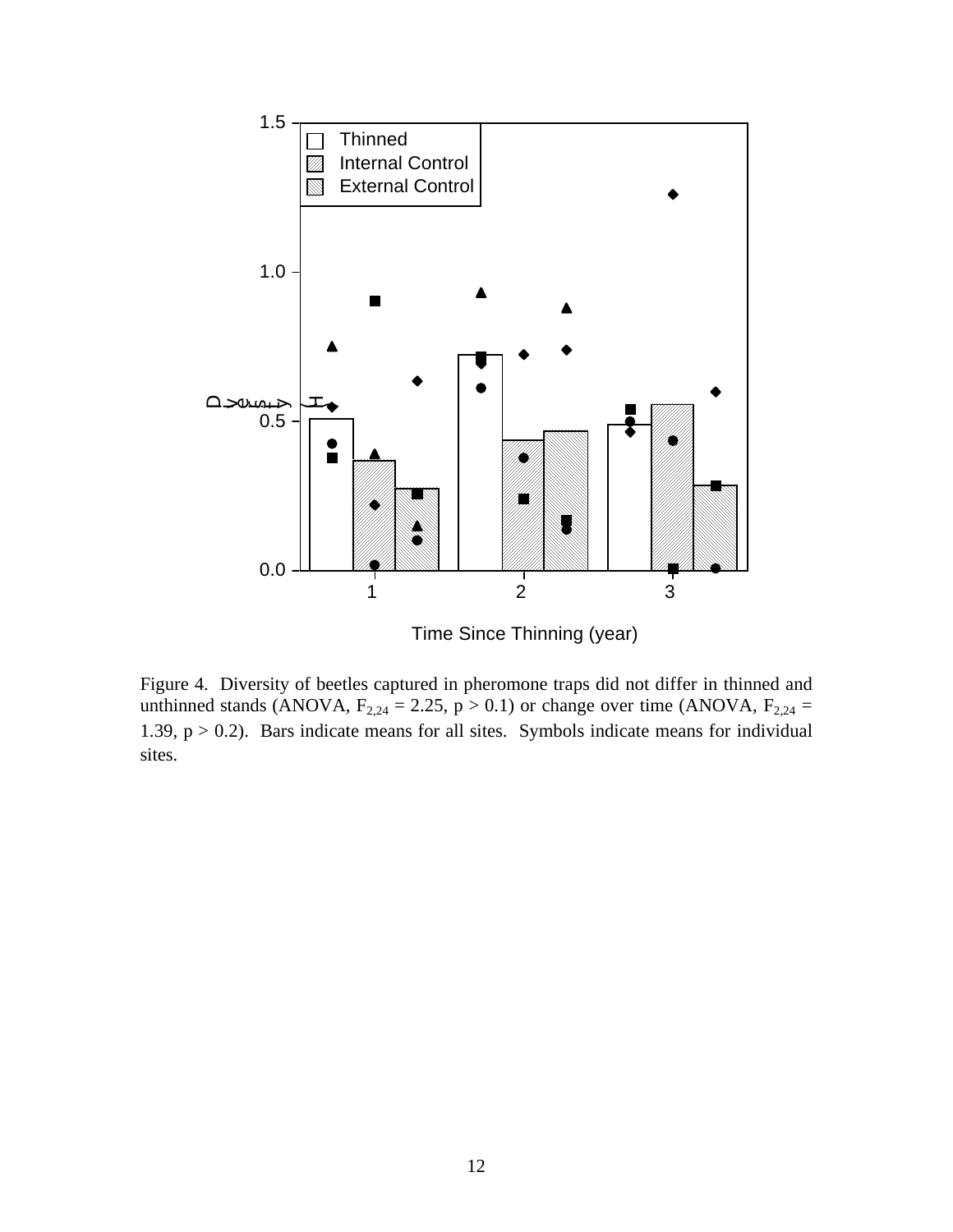

Time Since Thinning (year)

Figure 4. Diversity of beetles captured in pheromone traps did not differ in thinned and unthinned stands (ANOVA,  $F_{2,24} = 2.25$ ,  $p > 0.1$ ) or change over time (ANOVA,  $F_{2,24} =$ 1.39,  $p > 0.2$ ). Bars indicate means for all sites. Symbols indicate means for individual sites.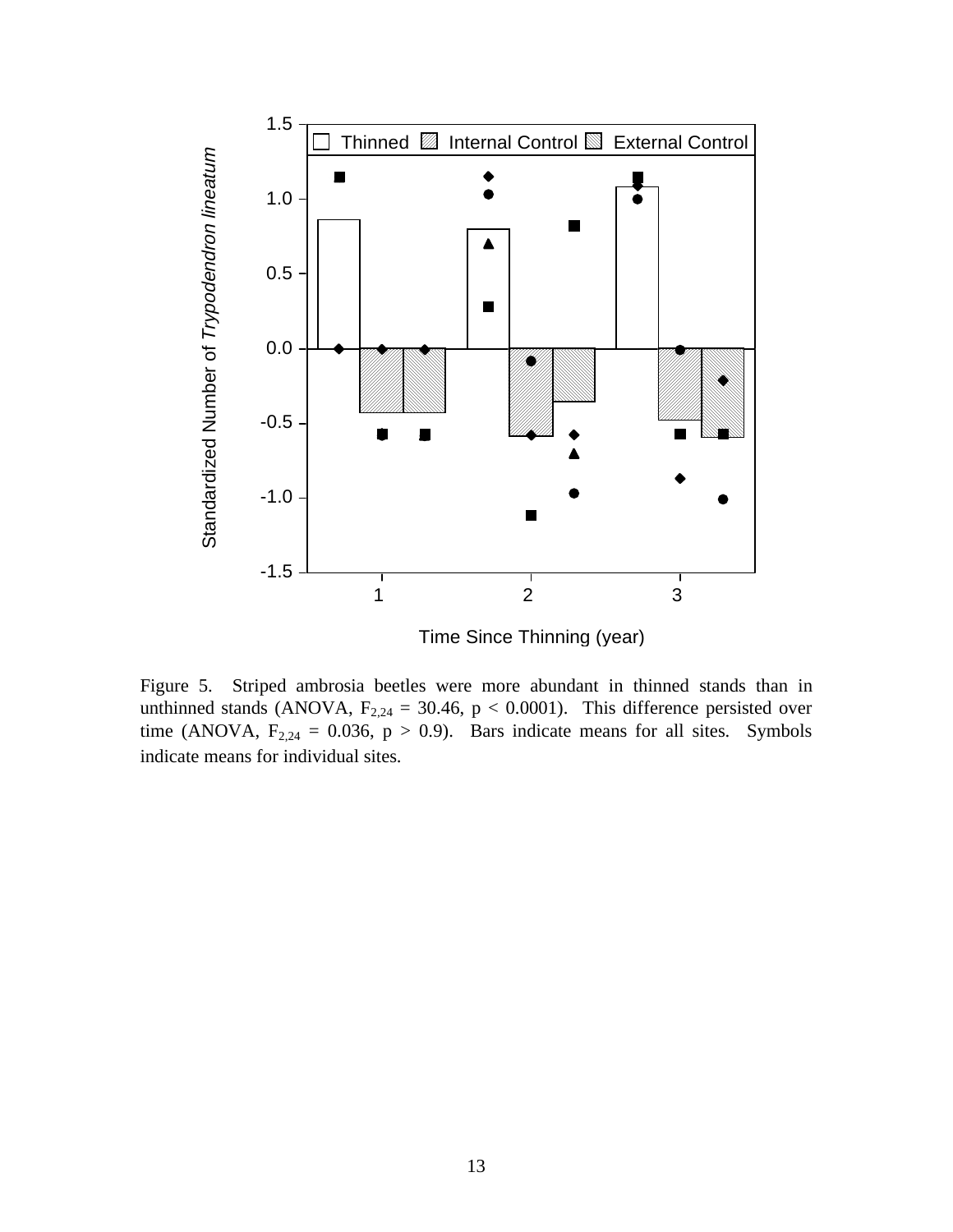

Time Since Thinning (year)

Figure 5. Striped ambrosia beetles were more abundant in thinned stands than in unthinned stands (ANOVA,  $F_{2,24} = 30.46$ ,  $p < 0.0001$ ). This difference persisted over time (ANOVA,  $F_{2,24} = 0.036$ ,  $p > 0.9$ ). Bars indicate means for all sites. Symbols indicate means for individual sites.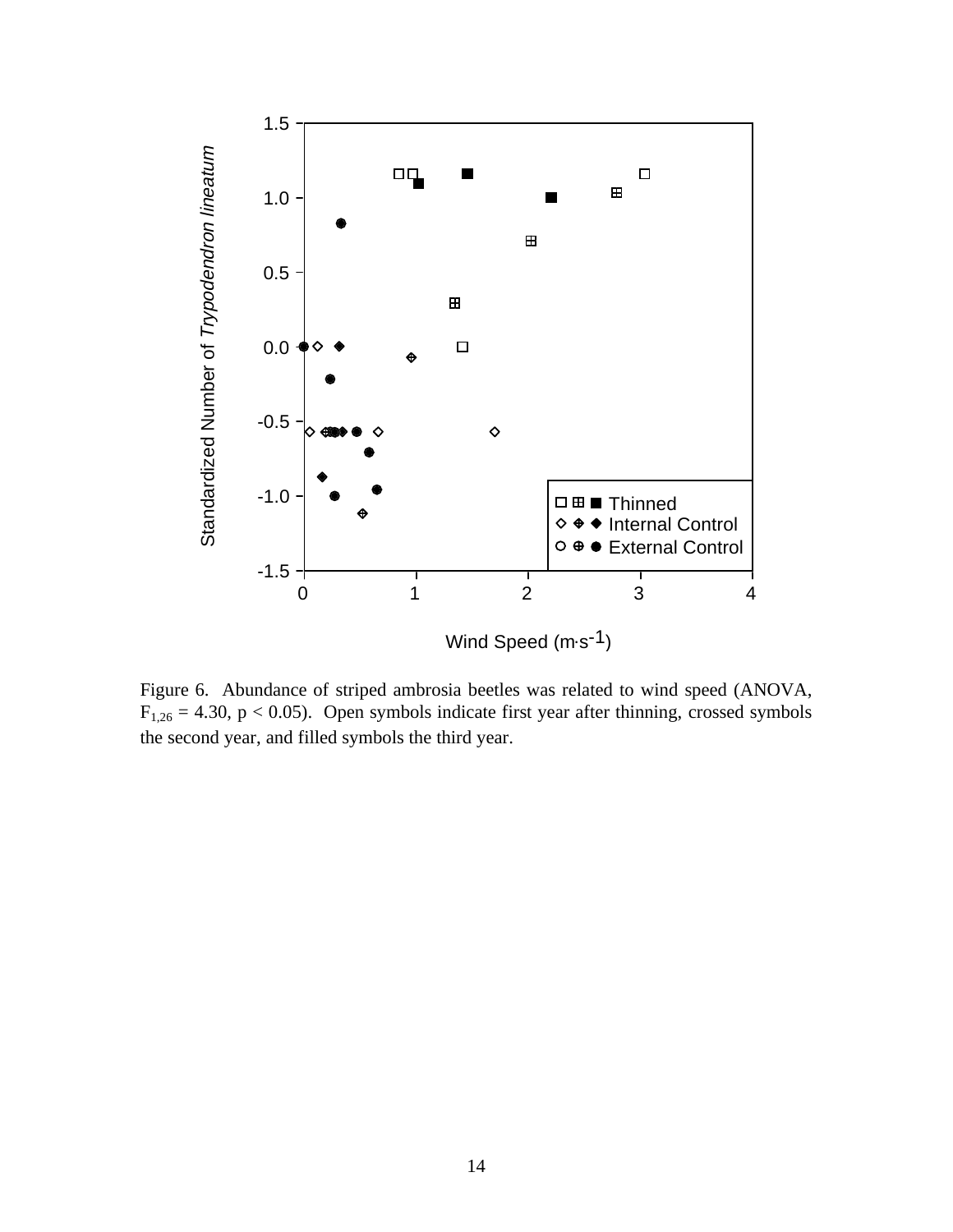

Figure 6. Abundance of striped ambrosia beetles was related to wind speed (ANOVA,  $F_{1,26} = 4.30$ , p < 0.05). Open symbols indicate first year after thinning, crossed symbols the second year, and filled symbols the third year.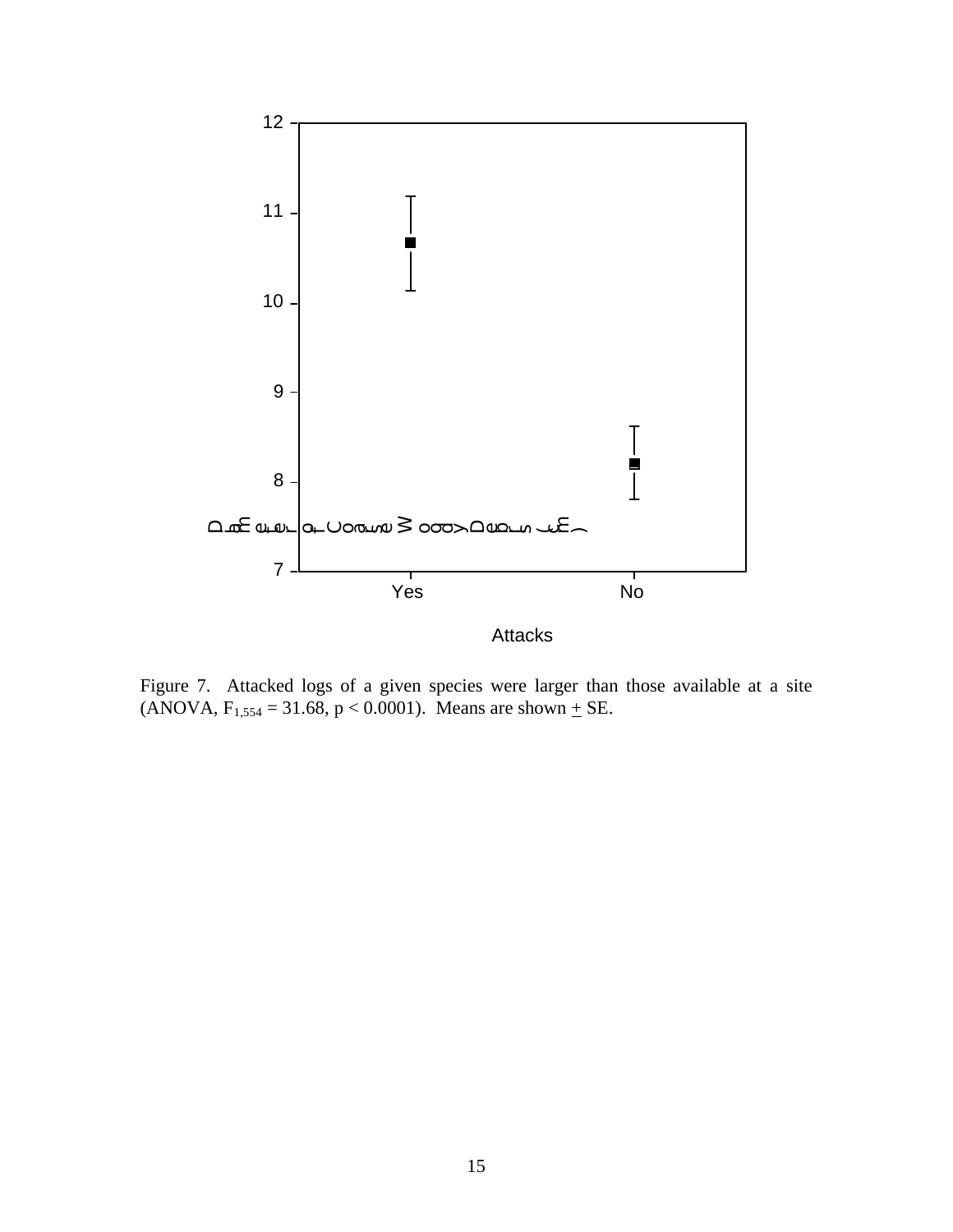

Figure 7. Attacked logs of a given species were larger than those available at a site (ANOVA,  $F_{1,554} = 31.68$ ,  $p < 0.0001$ ). Means are shown  $\pm$  SE.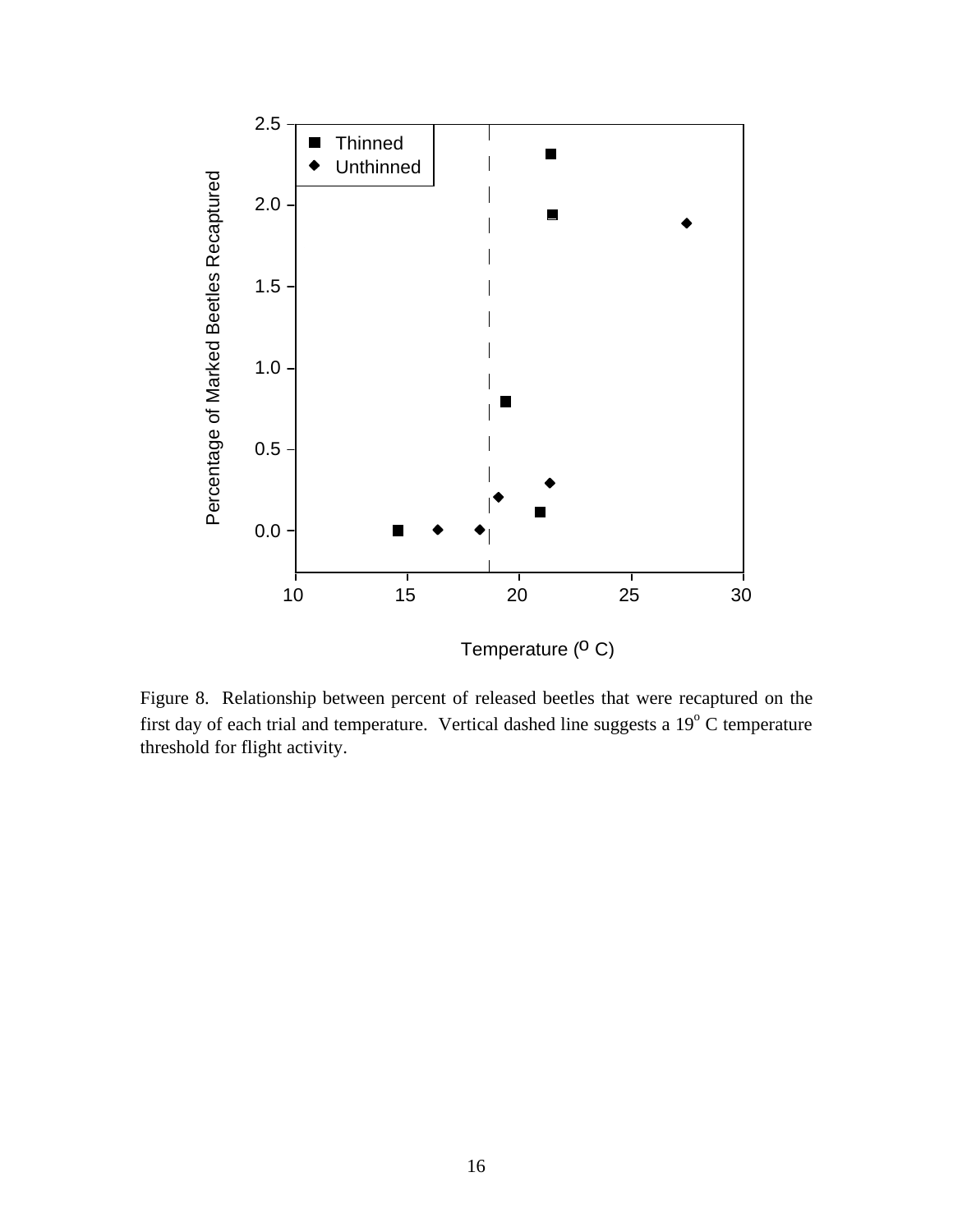

Figure 8. Relationship between percent of released beetles that were recaptured on the first day of each trial and temperature. Vertical dashed line suggests a  $19^{\circ}$  C temperature threshold for flight activity.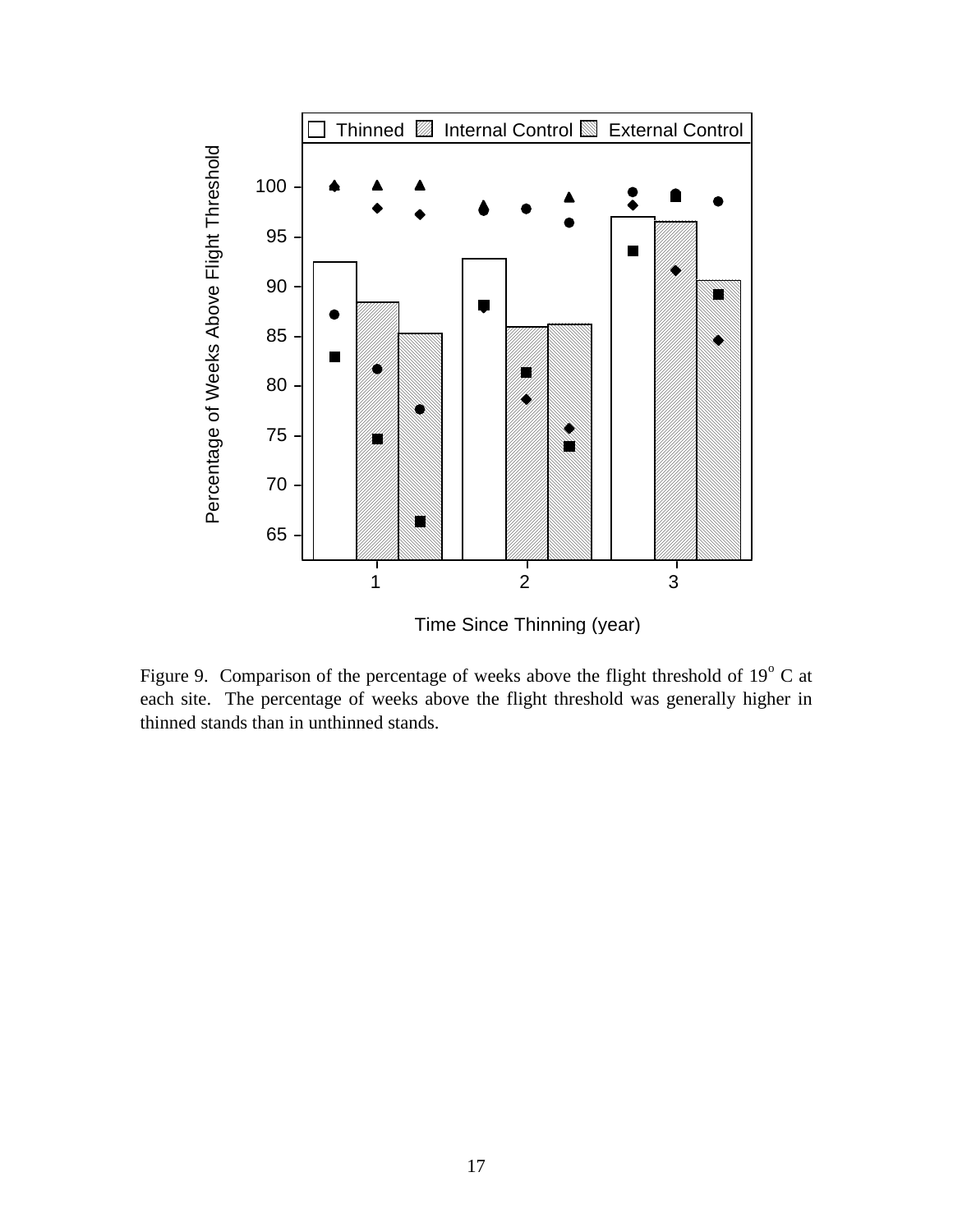

Figure 9. Comparison of the percentage of weeks above the flight threshold of  $19^{\circ}$  C at each site. The percentage of weeks above the flight threshold was generally higher in thinned stands than in unthinned stands.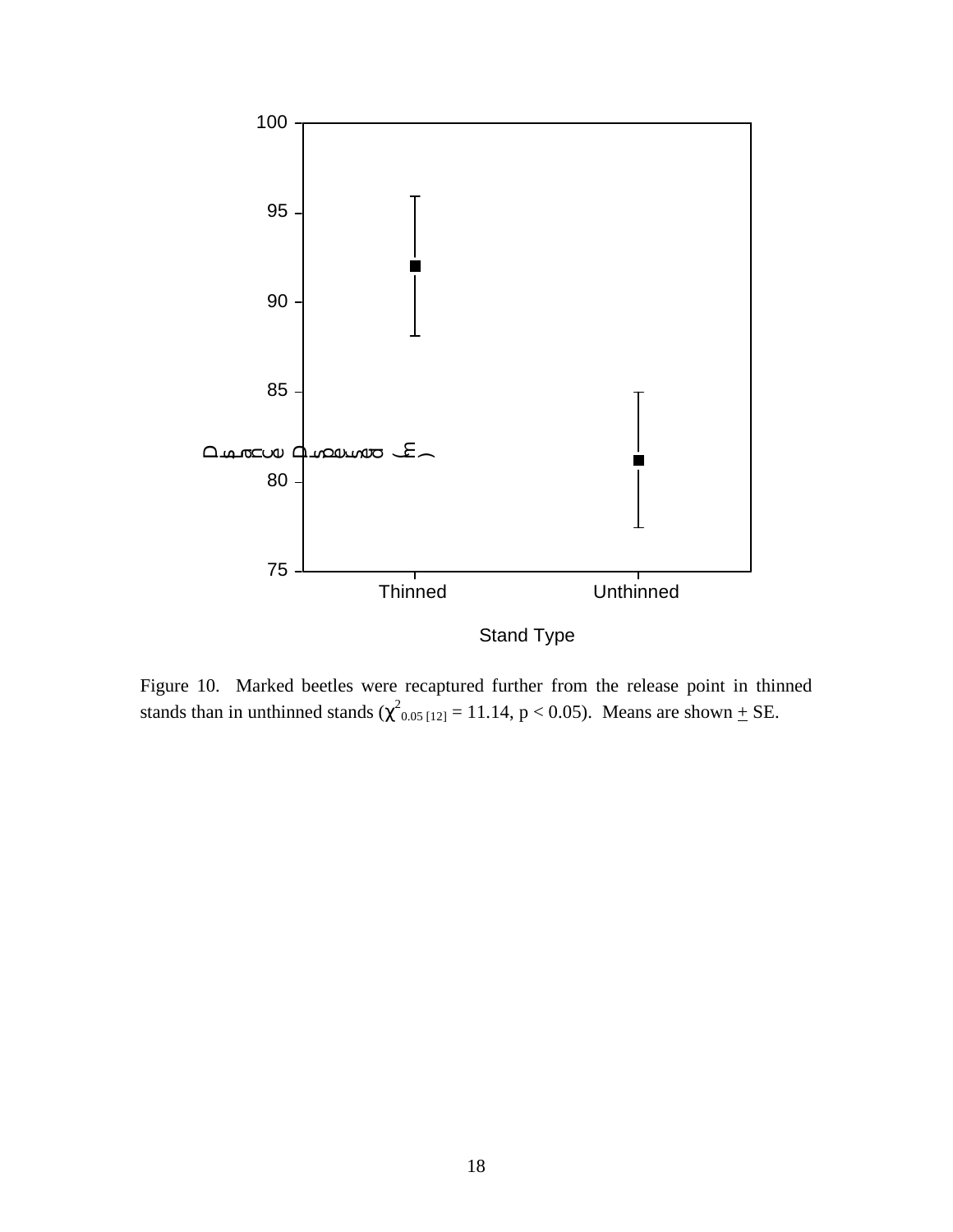

Figure 10. Marked beetles were recaptured further from the release point in thinned stands than in unthinned stands  $(\chi^2_{0.05\,[12]} = 11.14, p < 0.05)$ . Means are shown  $\pm$  SE.